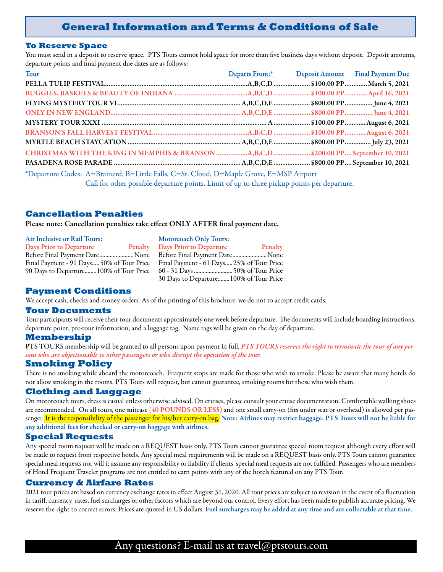# **General Information and Terms & Conditions of Sale**

#### **To Reserve Space**

You must send in a deposit to reserve space. PTS Tours cannot hold space for more than five business days without deposit. Deposit amounts, departure points and final payment due dates are as follows:

| Tour                                                                                                                                                                                                                                                                                                                                                                                                                        |  | Departs From:* Deposit Amount Final Payment Due |  |
|-----------------------------------------------------------------------------------------------------------------------------------------------------------------------------------------------------------------------------------------------------------------------------------------------------------------------------------------------------------------------------------------------------------------------------|--|-------------------------------------------------|--|
|                                                                                                                                                                                                                                                                                                                                                                                                                             |  |                                                 |  |
|                                                                                                                                                                                                                                                                                                                                                                                                                             |  |                                                 |  |
|                                                                                                                                                                                                                                                                                                                                                                                                                             |  |                                                 |  |
|                                                                                                                                                                                                                                                                                                                                                                                                                             |  |                                                 |  |
|                                                                                                                                                                                                                                                                                                                                                                                                                             |  |                                                 |  |
|                                                                                                                                                                                                                                                                                                                                                                                                                             |  |                                                 |  |
|                                                                                                                                                                                                                                                                                                                                                                                                                             |  |                                                 |  |
| CHRISTMAS WITH THE KING IN MEMPHIS & BRANSON A,B,C,D  \$200.00 PP September 10, 2021                                                                                                                                                                                                                                                                                                                                        |  |                                                 |  |
|                                                                                                                                                                                                                                                                                                                                                                                                                             |  |                                                 |  |
| *Departure Codes: A=Brainerd, B=Little Falls, C=St. Cloud, D=Maple Grove, E=MSP Airport<br>$\alpha$ and $\alpha$ and $\alpha$ and $\alpha$ and $\alpha$ and $\alpha$ and $\alpha$ and $\alpha$ and $\alpha$ and $\alpha$ and $\alpha$ and $\alpha$ and $\alpha$ and $\alpha$ and $\alpha$ and $\alpha$ and $\alpha$ and $\alpha$ and $\alpha$ and $\alpha$ and $\alpha$ and $\alpha$ and $\alpha$ and $\alpha$ and $\alpha$ |  |                                                 |  |

Call for other possible departure points. Limit of up to three pickup points per departure.

# **Cancellation Penalties**

Please note: Cancellation penalties take effect ONLY AFTER final payment date.

| <b>Air Inclusive or Rail Tours:</b>       | <b>Motorcoach Only Tours:</b>             |
|-------------------------------------------|-------------------------------------------|
| <b>Days Prior to Departure</b><br>Penalty | Penalty<br><b>Days Prior to Departure</b> |
| Before Final Payment DateNone             | Before Final Payment Date None            |
| Final Payment - 91 Days 50% of Tour Price | Final Payment - 61 Days25% of Tour Price  |
| 90 Days to Departure100% of Tour Price    |                                           |
|                                           | 30 Days to Departure100% of Tour Price    |

## **Payment Conditions**

We accept cash, checks and money orders. As of the printing of this brochure, we do not to accept credit cards.

#### **Tour Documents**

Tour participants will receive their tour documents approximately one week before departure. The documents will include boarding instructions, departure point, pre-tour information, and a luggage tag. Name tags will be given on the day of departure.

#### **Membership**

PTS TOURS membership will be granted to all persons upon payment in full. *PTS TOURS reserves the right to terminate the tour of any persons who are objectionable to other passengers or who disrupt the operation of the tour.*

## **Smoking Policy**

There is no smoking while aboard the motorcoach. Frequent stops are made for those who wish to smoke. Please be aware that many hotels do not allow smoking in the rooms. PTS Tours will request, but cannot guarantee, smoking rooms for those who wish them.

#### **Clothing and Luggage**

On motorcoach tours, dress is casual unless otherwise advised. On cruises, please consult your cruise documentation. Comfortable walking shoes are recommended. On all tours, one suitcase (40 POUNDS OR LESS) and one small carry-on (fits under seat or overhead) is allowed per passenger. It is the responsibility of the passenger for his/her carry-on bag. Note: Airlines may restrict baggage. PTS Tours will not be liable for any additional fees for checked or carry-on baggage with airlines.

## **Special Requests**

Any special room request will be made on a REQUEST basis only. PTS Tours cannot guarantee special room request although every effort will be made to request from respective hotels. Any special meal requirements will be made on a REQUEST basis only. PTS Tours cannot guarantee special meal requests nor will it assume any responsibility or liability if clients' special meal requests are not fulfilled. Passengers who are members of Hotel Frequent Traveler programs are not entitled to earn points with any of the hotels featured on any PTS Tour.

#### **Currency & Airfare Rates**

2021 tour prices are based on currency exchange rates in effect August 31, 2020. All tour prices are subject to revision in the event of a fluctuation in tariff, currency rates, fuel surcharges or other factors which are beyond our control. Every effort has been made to publish accurate pricing. We reserve the right to correct errors. Prices are quoted in US dollars. Fuel surcharges may be added at any time and are collectable at that time.

# Any questions? E-mail us at travel@ptstours.com